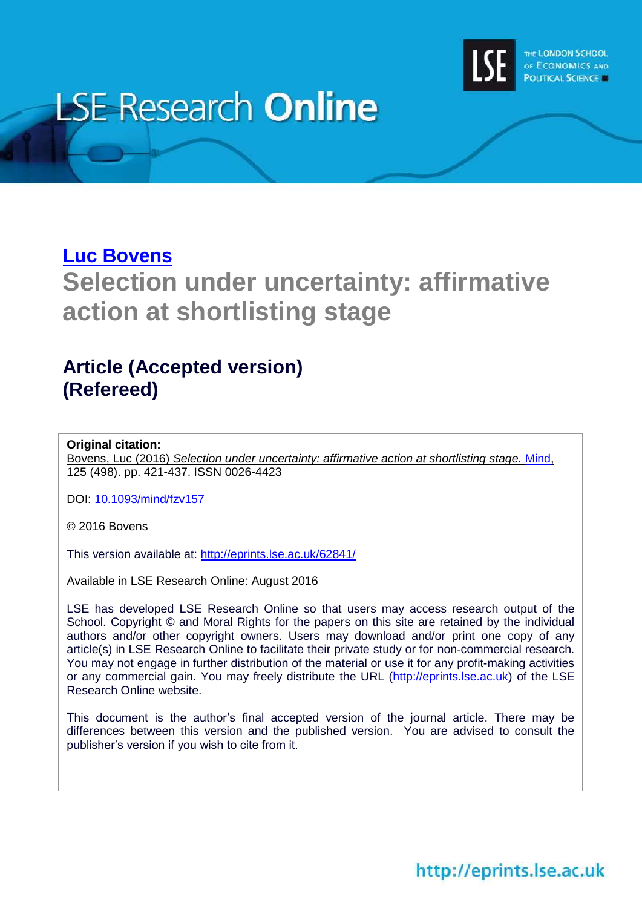

# **LSE Research Online**

# **[Luc Bovens](http://www.lse.ac.uk/researchAndExpertise/Experts/profile.aspx?KeyValue=l.bovens@lse.ac.uk)**

**Selection under uncertainty: affirmative action at shortlisting stage**

# **Article (Accepted version) (Refereed)**

# **Original citation:**

Bovens, Luc (2016) *Selection under uncertainty: affirmative action at shortlisting stage.* [Mind,](http://www.oxfordjournals.org/our_journals/mind) 125 (498). pp. 421-437. ISSN 0026-4423

DOI: [10.1093/mind/fzv157](http://dx.doi.org/10.1093/mind/fzv157)

© 2016 Bovens

This version available at:<http://eprints.lse.ac.uk/62841/>

Available in LSE Research Online: August 2016

LSE has developed LSE Research Online so that users may access research output of the School. Copyright © and Moral Rights for the papers on this site are retained by the individual authors and/or other copyright owners. Users may download and/or print one copy of any article(s) in LSE Research Online to facilitate their private study or for non-commercial research. You may not engage in further distribution of the material or use it for any profit-making activities or any commercial gain. You may freely distribute the URL (http://eprints.lse.ac.uk) of the LSE Research Online website.

This document is the author's final accepted version of the journal article. There may be differences between this version and the published version. You are advised to consult the publisher's version if you wish to cite from it.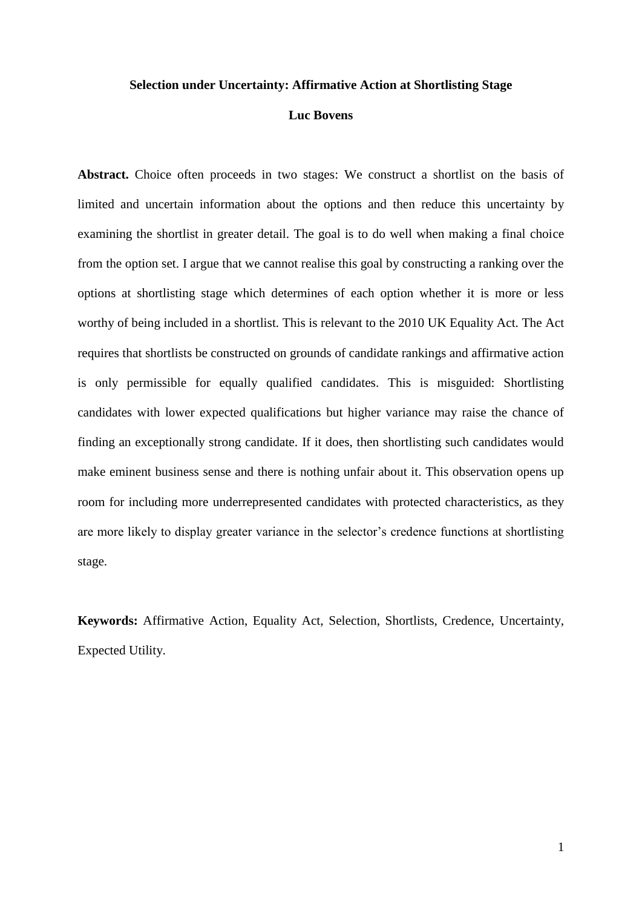#### **Selection under Uncertainty: Affirmative Action at Shortlisting Stage**

## **Luc Bovens**

Abstract. Choice often proceeds in two stages: We construct a shortlist on the basis of limited and uncertain information about the options and then reduce this uncertainty by examining the shortlist in greater detail. The goal is to do well when making a final choice from the option set. I argue that we cannot realise this goal by constructing a ranking over the options at shortlisting stage which determines of each option whether it is more or less worthy of being included in a shortlist. This is relevant to the 2010 UK Equality Act. The Act requires that shortlists be constructed on grounds of candidate rankings and affirmative action is only permissible for equally qualified candidates. This is misguided: Shortlisting candidates with lower expected qualifications but higher variance may raise the chance of finding an exceptionally strong candidate. If it does, then shortlisting such candidates would make eminent business sense and there is nothing unfair about it. This observation opens up room for including more underrepresented candidates with protected characteristics, as they are more likely to display greater variance in the selector's credence functions at shortlisting stage.

**Keywords:** Affirmative Action, Equality Act, Selection, Shortlists, Credence, Uncertainty, Expected Utility.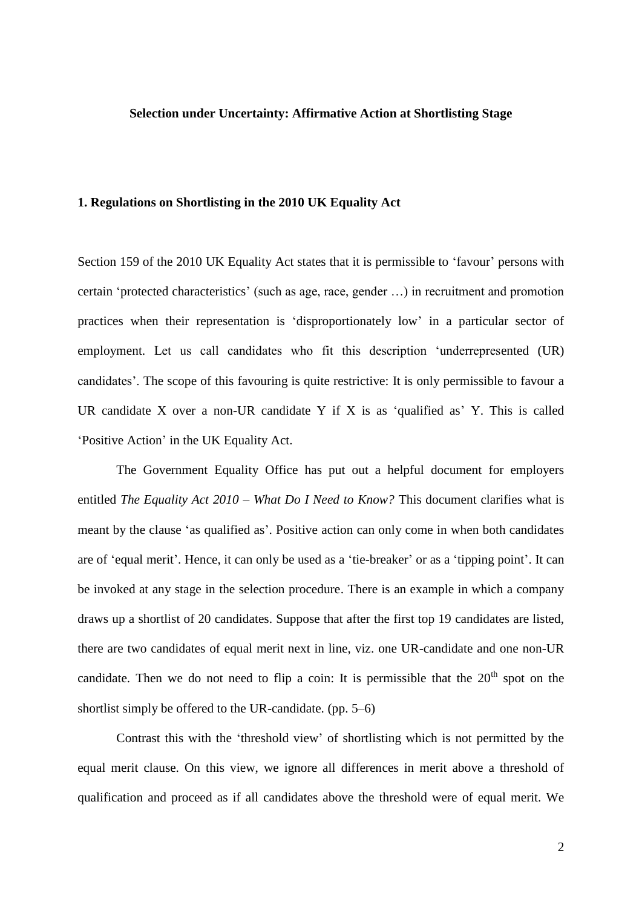# **Selection under Uncertainty: Affirmative Action at Shortlisting Stage**

#### **1. Regulations on Shortlisting in the 2010 UK Equality Act**

Section 159 of the 2010 UK Equality Act states that it is permissible to 'favour' persons with certain 'protected characteristics' (such as age, race, gender …) in recruitment and promotion practices when their representation is 'disproportionately low' in a particular sector of employment. Let us call candidates who fit this description 'underrepresented (UR) candidates'. The scope of this favouring is quite restrictive: It is only permissible to favour a UR candidate X over a non-UR candidate Y if X is as 'qualified as' Y. This is called 'Positive Action' in the UK Equality Act.

The Government Equality Office has put out a helpful document for employers entitled *The Equality Act 2010 – What Do I Need to Know?* This document clarifies what is meant by the clause 'as qualified as'. Positive action can only come in when both candidates are of 'equal merit'. Hence, it can only be used as a 'tie-breaker' or as a 'tipping point'. It can be invoked at any stage in the selection procedure. There is an example in which a company draws up a shortlist of 20 candidates. Suppose that after the first top 19 candidates are listed, there are two candidates of equal merit next in line, viz. one UR-candidate and one non-UR candidate. Then we do not need to flip a coin: It is permissible that the  $20<sup>th</sup>$  spot on the shortlist simply be offered to the UR-candidate. (pp. 5–6)

Contrast this with the 'threshold view' of shortlisting which is not permitted by the equal merit clause. On this view, we ignore all differences in merit above a threshold of qualification and proceed as if all candidates above the threshold were of equal merit. We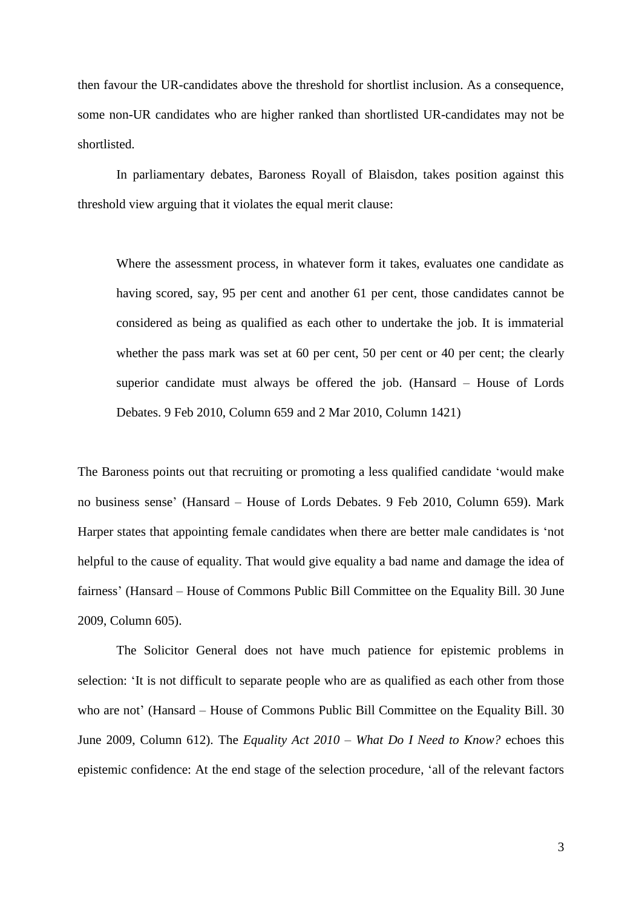then favour the UR-candidates above the threshold for shortlist inclusion. As a consequence, some non-UR candidates who are higher ranked than shortlisted UR-candidates may not be shortlisted.

In parliamentary debates, Baroness Royall of Blaisdon, takes position against this threshold view arguing that it violates the equal merit clause:

Where the assessment process, in whatever form it takes, evaluates one candidate as having scored, say, 95 per cent and another 61 per cent, those candidates cannot be considered as being as qualified as each other to undertake the job. It is immaterial whether the pass mark was set at 60 per cent, 50 per cent or 40 per cent; the clearly superior candidate must always be offered the job. (Hansard – House of Lords Debates. 9 Feb 2010, Column 659 and 2 Mar 2010, Column 1421)

The Baroness points out that recruiting or promoting a less qualified candidate 'would make no business sense' (Hansard – House of Lords Debates. 9 Feb 2010, Column 659). Mark Harper states that appointing female candidates when there are better male candidates is 'not helpful to the cause of equality. That would give equality a bad name and damage the idea of fairness' (Hansard – House of Commons Public Bill Committee on the Equality Bill. 30 June 2009, Column 605).

The Solicitor General does not have much patience for epistemic problems in selection: 'It is not difficult to separate people who are as qualified as each other from those who are not' (Hansard – House of Commons Public Bill Committee on the Equality Bill. 30 June 2009, Column 612). The *Equality Act 2010 – What Do I Need to Know?* echoes this epistemic confidence: At the end stage of the selection procedure, 'all of the relevant factors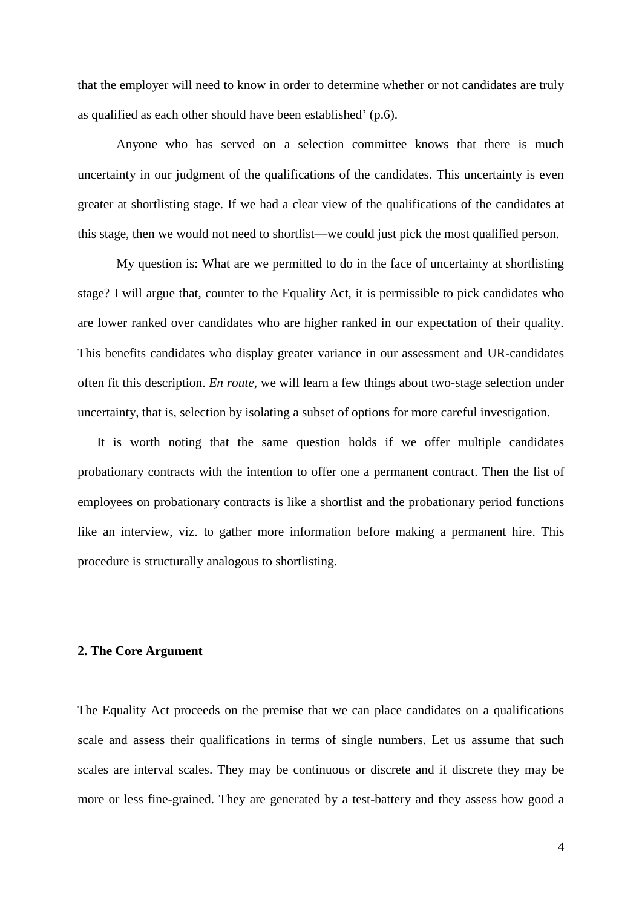that the employer will need to know in order to determine whether or not candidates are truly as qualified as each other should have been established' (p.6).

Anyone who has served on a selection committee knows that there is much uncertainty in our judgment of the qualifications of the candidates. This uncertainty is even greater at shortlisting stage. If we had a clear view of the qualifications of the candidates at this stage, then we would not need to shortlist—we could just pick the most qualified person.

My question is: What are we permitted to do in the face of uncertainty at shortlisting stage? I will argue that, counter to the Equality Act, it is permissible to pick candidates who are lower ranked over candidates who are higher ranked in our expectation of their quality. This benefits candidates who display greater variance in our assessment and UR-candidates often fit this description. *En route*, we will learn a few things about two-stage selection under uncertainty, that is, selection by isolating a subset of options for more careful investigation.

It is worth noting that the same question holds if we offer multiple candidates probationary contracts with the intention to offer one a permanent contract. Then the list of employees on probationary contracts is like a shortlist and the probationary period functions like an interview, viz. to gather more information before making a permanent hire. This procedure is structurally analogous to shortlisting.

# **2. The Core Argument**

The Equality Act proceeds on the premise that we can place candidates on a qualifications scale and assess their qualifications in terms of single numbers. Let us assume that such scales are interval scales. They may be continuous or discrete and if discrete they may be more or less fine-grained. They are generated by a test-battery and they assess how good a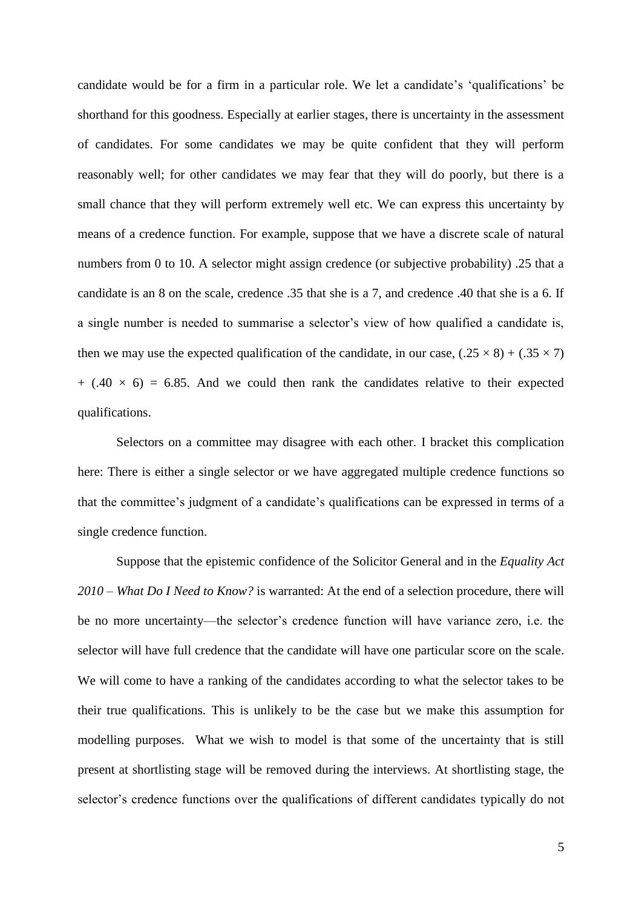candidate would be for a firm in a particular role. We let a candidate's 'qualifications' be shorthand for this goodness. Especially at earlier stages, there is uncertainty in the assessment of candidates. For some candidates we may be quite confident that they will perform reasonably well; for other candidates we may fear that they will do poorly, but there is a small chance that they will perform extremely well etc. We can express this uncertainty by means of a credence function. For example, suppose that we have a discrete scale of natural numbers from 0 to 10. A selector might assign credence (or subjective probability) .25 that a candidate is an 8 on the scale, credence .35 that she is a 7, and credence .40 that she is a 6. If a single number is needed to summarise a selector's view of how qualified a candidate is, then we may use the expected qualification of the candidate, in our case,  $(.25 \times 8) + (.35 \times 7)$  $+$  (.40  $\times$  6) = 6.85. And we could then rank the candidates relative to their expected qualifications.

Selectors on a committee may disagree with each other. I bracket this complication here: There is either a single selector or we have aggregated multiple credence functions so that the committee's judgment of a candidate's qualifications can be expressed in terms of a single credence function.

Suppose that the epistemic confidence of the Solicitor General and in the *Equality Act 2010 – What Do I Need to Know?* is warranted: At the end of a selection procedure, there will be no more uncertainty—the selector's credence function will have variance zero, i.e. the selector will have full credence that the candidate will have one particular score on the scale. We will come to have a ranking of the candidates according to what the selector takes to be their true qualifications. This is unlikely to be the case but we make this assumption for modelling purposes. What we wish to model is that some of the uncertainty that is still present at shortlisting stage will be removed during the interviews. At shortlisting stage, the selector's credence functions over the qualifications of different candidates typically do not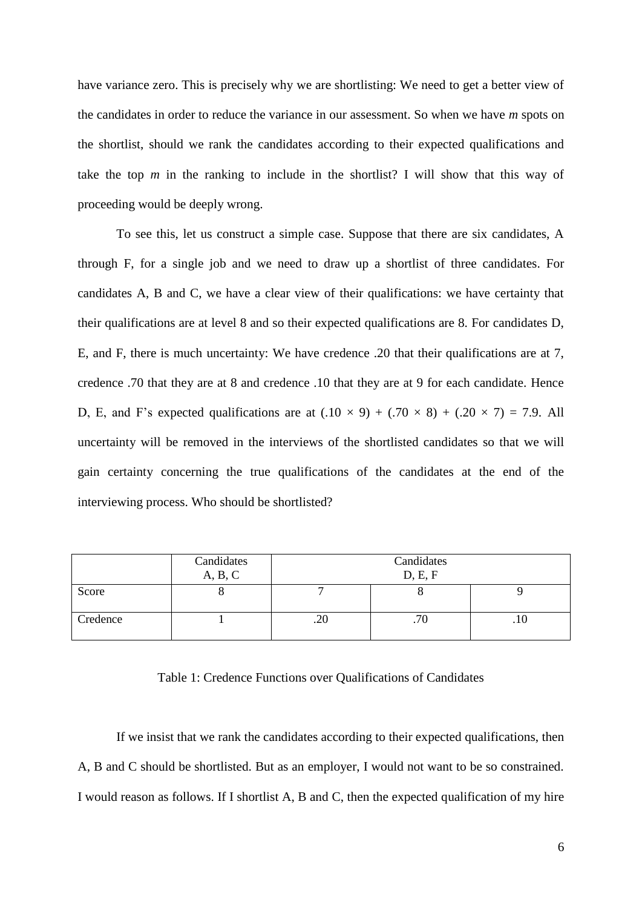have variance zero. This is precisely why we are shortlisting: We need to get a better view of the candidates in order to reduce the variance in our assessment. So when we have *m* spots on the shortlist, should we rank the candidates according to their expected qualifications and take the top *m* in the ranking to include in the shortlist? I will show that this way of proceeding would be deeply wrong.

To see this, let us construct a simple case. Suppose that there are six candidates, A through F, for a single job and we need to draw up a shortlist of three candidates. For candidates A, B and C, we have a clear view of their qualifications: we have certainty that their qualifications are at level 8 and so their expected qualifications are 8. For candidates D, E, and F, there is much uncertainty: We have credence .20 that their qualifications are at 7, credence .70 that they are at 8 and credence .10 that they are at 9 for each candidate. Hence D, E, and F's expected qualifications are at  $(.10 \times 9) + (.70 \times 8) + (.20 \times 7) = 7.9$ . All uncertainty will be removed in the interviews of the shortlisted candidates so that we will gain certainty concerning the true qualifications of the candidates at the end of the interviewing process. Who should be shortlisted?

|          | Candidates<br>A, B, C | Candidates<br>D, E, F |     |       |
|----------|-----------------------|-----------------------|-----|-------|
| Score    |                       |                       |     |       |
| Credence |                       | .∠U                   | .70 | . I V |

Table 1: Credence Functions over Qualifications of Candidates

If we insist that we rank the candidates according to their expected qualifications, then A, B and C should be shortlisted. But as an employer, I would not want to be so constrained. I would reason as follows. If I shortlist A, B and C, then the expected qualification of my hire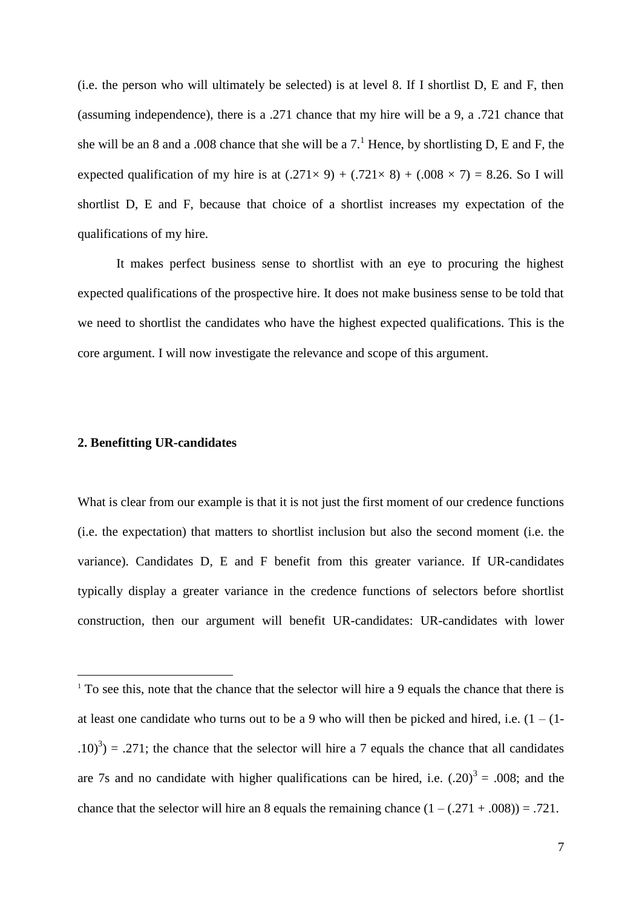(i.e. the person who will ultimately be selected) is at level 8. If I shortlist D, E and F, then (assuming independence), there is a .271 chance that my hire will be a 9, a .721 chance that she will be an 8 and a .008 chance that she will be a  $7<sup>1</sup>$  Hence, by shortlisting D, E and F, the expected qualification of my hire is at  $(.271 \times 9) + (.721 \times 8) + (.008 \times 7) = 8.26$ . So I will shortlist D, E and F, because that choice of a shortlist increases my expectation of the qualifications of my hire.

It makes perfect business sense to shortlist with an eye to procuring the highest expected qualifications of the prospective hire. It does not make business sense to be told that we need to shortlist the candidates who have the highest expected qualifications. This is the core argument. I will now investigate the relevance and scope of this argument.

# **2. Benefitting UR-candidates**

1

What is clear from our example is that it is not just the first moment of our credence functions (i.e. the expectation) that matters to shortlist inclusion but also the second moment (i.e. the variance). Candidates D, E and F benefit from this greater variance. If UR-candidates typically display a greater variance in the credence functions of selectors before shortlist construction, then our argument will benefit UR-candidates: UR-candidates with lower

<sup>&</sup>lt;sup>1</sup> To see this, note that the chance that the selector will hire a 9 equals the chance that there is at least one candidate who turns out to be a 9 who will then be picked and hired, i.e.  $(1 - (1 (10)^3$  = .271; the chance that the selector will hire a 7 equals the chance that all candidates are 7s and no candidate with higher qualifications can be hired, i.e.  $(.20)^3 = .008$ ; and the chance that the selector will hire an 8 equals the remaining chance  $(1 - (.271 + .008)) = .721$ .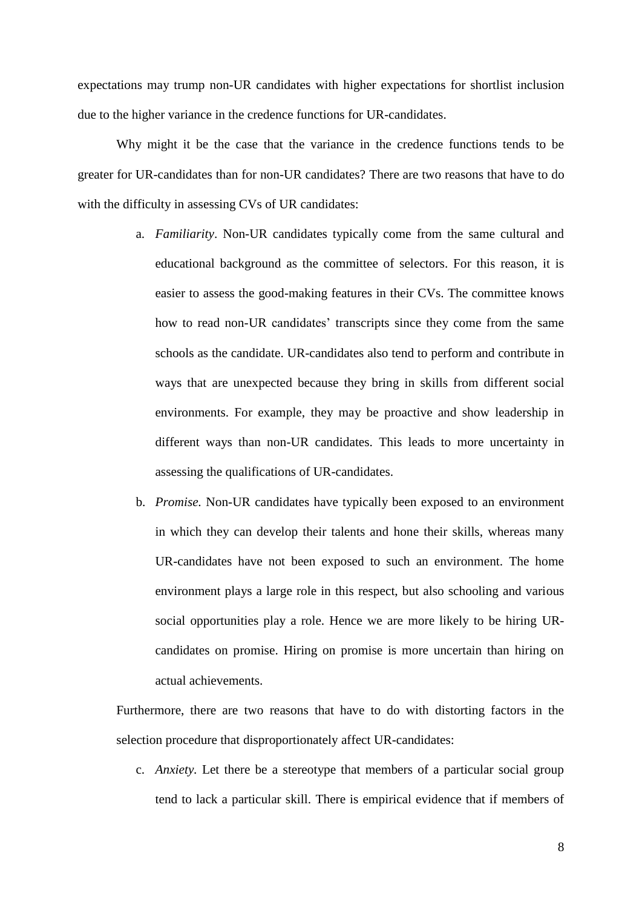expectations may trump non-UR candidates with higher expectations for shortlist inclusion due to the higher variance in the credence functions for UR-candidates.

Why might it be the case that the variance in the credence functions tends to be greater for UR-candidates than for non-UR candidates? There are two reasons that have to do with the difficulty in assessing CVs of UR candidates:

- a. *Familiarity*. Non-UR candidates typically come from the same cultural and educational background as the committee of selectors. For this reason, it is easier to assess the good-making features in their CVs. The committee knows how to read non-UR candidates' transcripts since they come from the same schools as the candidate. UR-candidates also tend to perform and contribute in ways that are unexpected because they bring in skills from different social environments. For example, they may be proactive and show leadership in different ways than non-UR candidates. This leads to more uncertainty in assessing the qualifications of UR-candidates.
- b. *Promise.* Non-UR candidates have typically been exposed to an environment in which they can develop their talents and hone their skills, whereas many UR-candidates have not been exposed to such an environment. The home environment plays a large role in this respect, but also schooling and various social opportunities play a role. Hence we are more likely to be hiring URcandidates on promise. Hiring on promise is more uncertain than hiring on actual achievements.

Furthermore, there are two reasons that have to do with distorting factors in the selection procedure that disproportionately affect UR-candidates:

c. *Anxiety.* Let there be a stereotype that members of a particular social group tend to lack a particular skill. There is empirical evidence that if members of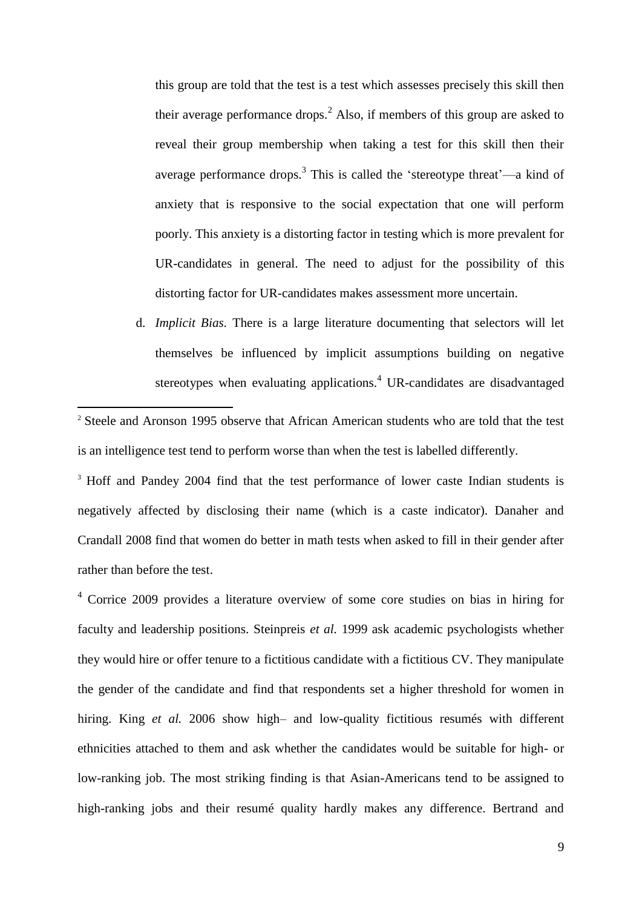this group are told that the test is a test which assesses precisely this skill then their average performance drops.<sup>2</sup> Also, if members of this group are asked to reveal their group membership when taking a test for this skill then their average performance drops.<sup>3</sup> This is called the 'stereotype threat'—a kind of anxiety that is responsive to the social expectation that one will perform poorly. This anxiety is a distorting factor in testing which is more prevalent for UR-candidates in general. The need to adjust for the possibility of this distorting factor for UR-candidates makes assessment more uncertain.

d. *Implicit Bias.* There is a large literature documenting that selectors will let themselves be influenced by implicit assumptions building on negative stereotypes when evaluating applications.<sup>4</sup> UR-candidates are disadvantaged

1

<sup>3</sup> Hoff and Pandey 2004 find that the test performance of lower caste Indian students is negatively affected by disclosing their name (which is a caste indicator). Danaher and Crandall 2008 find that women do better in math tests when asked to fill in their gender after rather than before the test.

 $4$  Corrice 2009 provides a literature overview of some core studies on bias in hiring for faculty and leadership positions. Steinpreis *et al.* 1999 ask academic psychologists whether they would hire or offer tenure to a fictitious candidate with a fictitious CV. They manipulate the gender of the candidate and find that respondents set a higher threshold for women in hiring. King *et al.* 2006 show high– and low-quality fictitious resumés with different ethnicities attached to them and ask whether the candidates would be suitable for high- or low-ranking job. The most striking finding is that Asian-Americans tend to be assigned to high-ranking jobs and their resumé quality hardly makes any difference. Bertrand and

<sup>&</sup>lt;sup>2</sup> Steele and Aronson 1995 observe that African American students who are told that the test is an intelligence test tend to perform worse than when the test is labelled differently.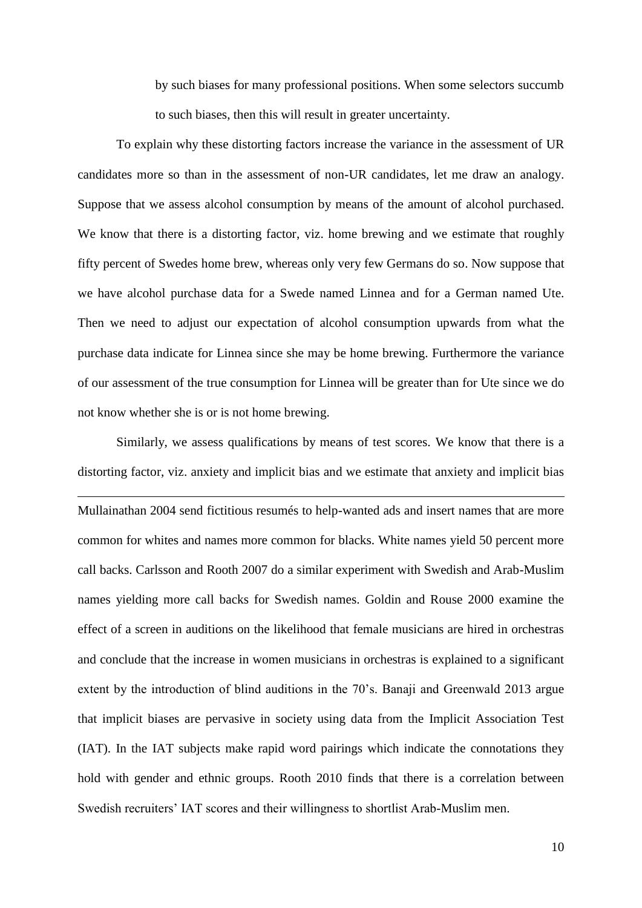by such biases for many professional positions. When some selectors succumb to such biases, then this will result in greater uncertainty.

To explain why these distorting factors increase the variance in the assessment of UR candidates more so than in the assessment of non-UR candidates, let me draw an analogy. Suppose that we assess alcohol consumption by means of the amount of alcohol purchased. We know that there is a distorting factor, viz. home brewing and we estimate that roughly fifty percent of Swedes home brew, whereas only very few Germans do so. Now suppose that we have alcohol purchase data for a Swede named Linnea and for a German named Ute. Then we need to adjust our expectation of alcohol consumption upwards from what the purchase data indicate for Linnea since she may be home brewing. Furthermore the variance of our assessment of the true consumption for Linnea will be greater than for Ute since we do not know whether she is or is not home brewing.

Similarly, we assess qualifications by means of test scores. We know that there is a distorting factor, viz. anxiety and implicit bias and we estimate that anxiety and implicit bias 1 Mullainathan 2004 send fictitious resumés to help-wanted ads and insert names that are more common for whites and names more common for blacks. White names yield 50 percent more call backs. Carlsson and Rooth 2007 do a similar experiment with Swedish and Arab-Muslim names yielding more call backs for Swedish names. Goldin and Rouse 2000 examine the effect of a screen in auditions on the likelihood that female musicians are hired in orchestras and conclude that the increase in women musicians in orchestras is explained to a significant extent by the introduction of blind auditions in the 70's. Banaji and Greenwald 2013 argue that implicit biases are pervasive in society using data from the Implicit Association Test (IAT). In the IAT subjects make rapid word pairings which indicate the connotations they hold with gender and ethnic groups. Rooth 2010 finds that there is a correlation between Swedish recruiters' IAT scores and their willingness to shortlist Arab-Muslim men.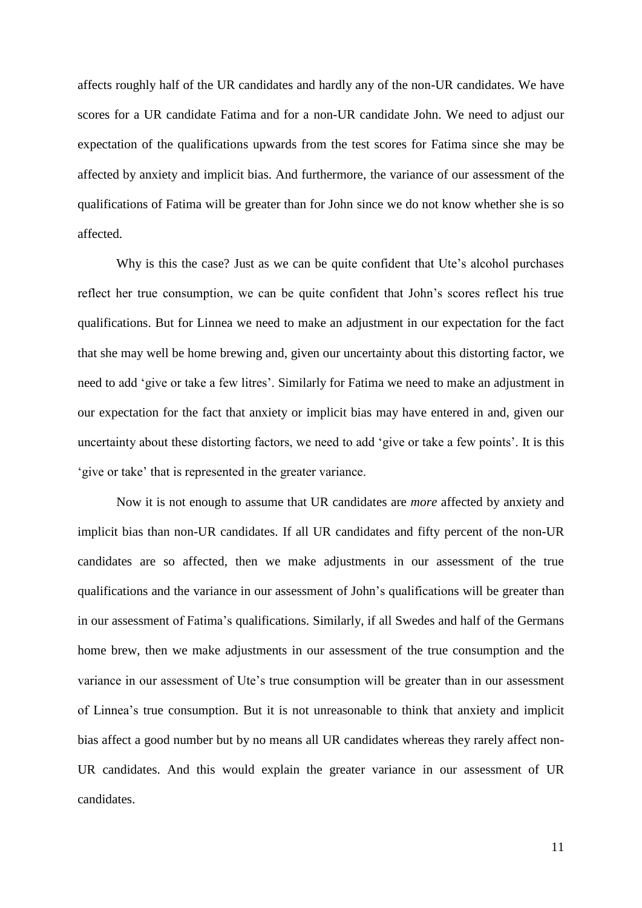affects roughly half of the UR candidates and hardly any of the non-UR candidates. We have scores for a UR candidate Fatima and for a non-UR candidate John. We need to adjust our expectation of the qualifications upwards from the test scores for Fatima since she may be affected by anxiety and implicit bias. And furthermore, the variance of our assessment of the qualifications of Fatima will be greater than for John since we do not know whether she is so affected.

Why is this the case? Just as we can be quite confident that Ute's alcohol purchases reflect her true consumption, we can be quite confident that John's scores reflect his true qualifications. But for Linnea we need to make an adjustment in our expectation for the fact that she may well be home brewing and, given our uncertainty about this distorting factor, we need to add 'give or take a few litres'. Similarly for Fatima we need to make an adjustment in our expectation for the fact that anxiety or implicit bias may have entered in and, given our uncertainty about these distorting factors, we need to add 'give or take a few points'. It is this 'give or take' that is represented in the greater variance.

Now it is not enough to assume that UR candidates are *more* affected by anxiety and implicit bias than non-UR candidates. If all UR candidates and fifty percent of the non-UR candidates are so affected, then we make adjustments in our assessment of the true qualifications and the variance in our assessment of John's qualifications will be greater than in our assessment of Fatima's qualifications. Similarly, if all Swedes and half of the Germans home brew, then we make adjustments in our assessment of the true consumption and the variance in our assessment of Ute's true consumption will be greater than in our assessment of Linnea's true consumption. But it is not unreasonable to think that anxiety and implicit bias affect a good number but by no means all UR candidates whereas they rarely affect non-UR candidates. And this would explain the greater variance in our assessment of UR candidates.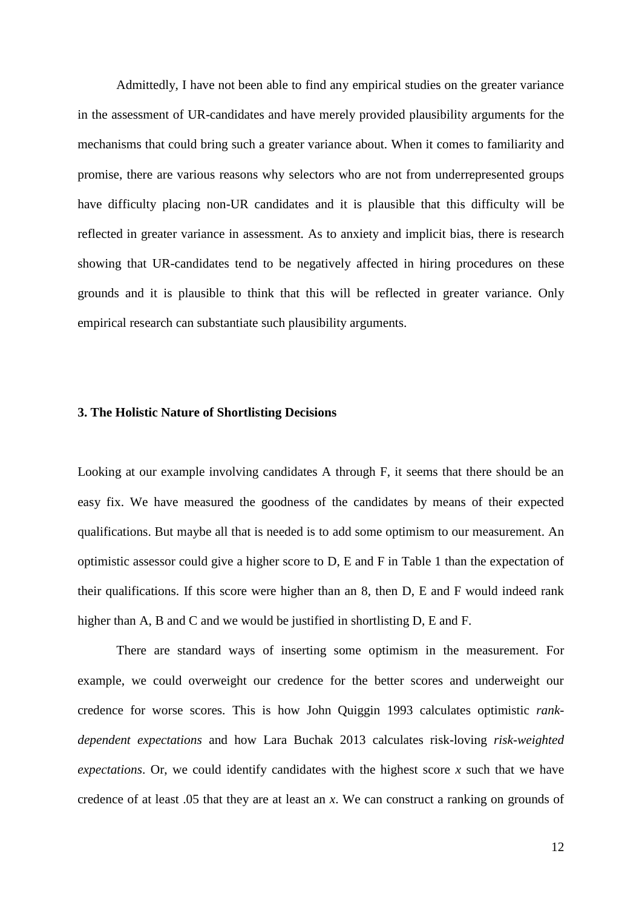Admittedly, I have not been able to find any empirical studies on the greater variance in the assessment of UR-candidates and have merely provided plausibility arguments for the mechanisms that could bring such a greater variance about. When it comes to familiarity and promise, there are various reasons why selectors who are not from underrepresented groups have difficulty placing non-UR candidates and it is plausible that this difficulty will be reflected in greater variance in assessment. As to anxiety and implicit bias, there is research showing that UR-candidates tend to be negatively affected in hiring procedures on these grounds and it is plausible to think that this will be reflected in greater variance. Only empirical research can substantiate such plausibility arguments.

#### **3. The Holistic Nature of Shortlisting Decisions**

Looking at our example involving candidates A through F, it seems that there should be an easy fix. We have measured the goodness of the candidates by means of their expected qualifications. But maybe all that is needed is to add some optimism to our measurement. An optimistic assessor could give a higher score to D, E and F in Table 1 than the expectation of their qualifications. If this score were higher than an 8, then D, E and F would indeed rank higher than A, B and C and we would be justified in shortlisting D, E and F.

There are standard ways of inserting some optimism in the measurement. For example, we could overweight our credence for the better scores and underweight our credence for worse scores. This is how John Quiggin 1993 calculates optimistic *rankdependent expectations* and how Lara Buchak 2013 calculates risk-loving *risk-weighted expectations*. Or, we could identify candidates with the highest score *x* such that we have credence of at least .05 that they are at least an *x*. We can construct a ranking on grounds of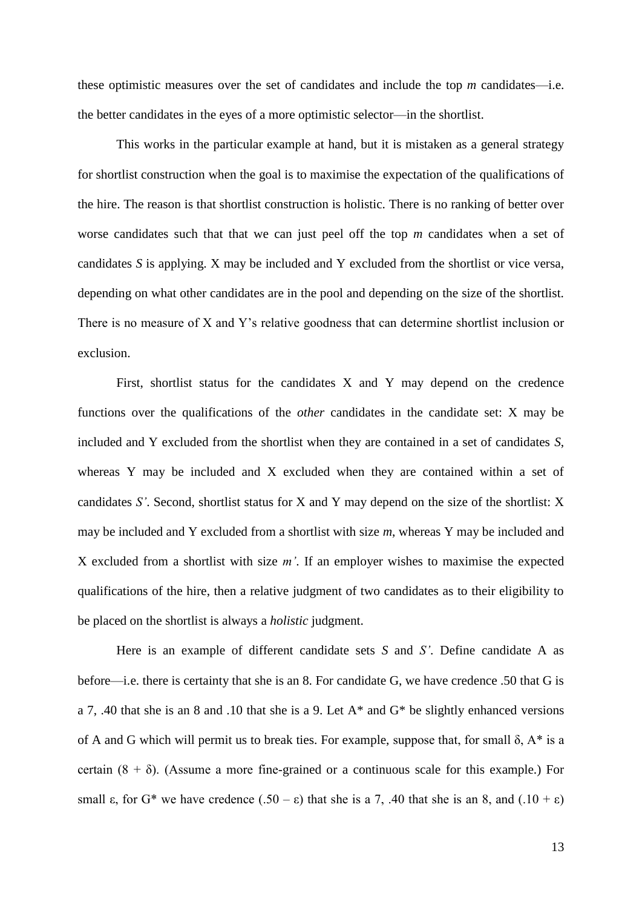these optimistic measures over the set of candidates and include the top *m* candidates—i.e. the better candidates in the eyes of a more optimistic selector—in the shortlist.

This works in the particular example at hand, but it is mistaken as a general strategy for shortlist construction when the goal is to maximise the expectation of the qualifications of the hire. The reason is that shortlist construction is holistic. There is no ranking of better over worse candidates such that that we can just peel off the top *m* candidates when a set of candidates *S* is applying. X may be included and Y excluded from the shortlist or vice versa, depending on what other candidates are in the pool and depending on the size of the shortlist. There is no measure of X and Y's relative goodness that can determine shortlist inclusion or exclusion.

First, shortlist status for the candidates X and Y may depend on the credence functions over the qualifications of the *other* candidates in the candidate set: X may be included and Y excluded from the shortlist when they are contained in a set of candidates *S*, whereas Y may be included and X excluded when they are contained within a set of candidates *S'*. Second, shortlist status for X and Y may depend on the size of the shortlist: X may be included and Y excluded from a shortlist with size *m*, whereas Y may be included and X excluded from a shortlist with size *m'*. If an employer wishes to maximise the expected qualifications of the hire, then a relative judgment of two candidates as to their eligibility to be placed on the shortlist is always a *holistic* judgment.

Here is an example of different candidate sets *S* and *S'*. Define candidate A as before—i.e. there is certainty that she is an 8. For candidate G, we have credence .50 that G is a 7, .40 that she is an 8 and .10 that she is a 9. Let A\* and G\* be slightly enhanced versions of A and G which will permit us to break ties. For example, suppose that, for small  $\delta$ ,  $A^*$  is a certain  $(8 + \delta)$ . (Assume a more fine-grained or a continuous scale for this example.) For small  $\varepsilon$ , for  $G^*$  we have credence  $(.50 - \varepsilon)$  that she is a 7, .40 that she is an 8, and  $(.10 + \varepsilon)$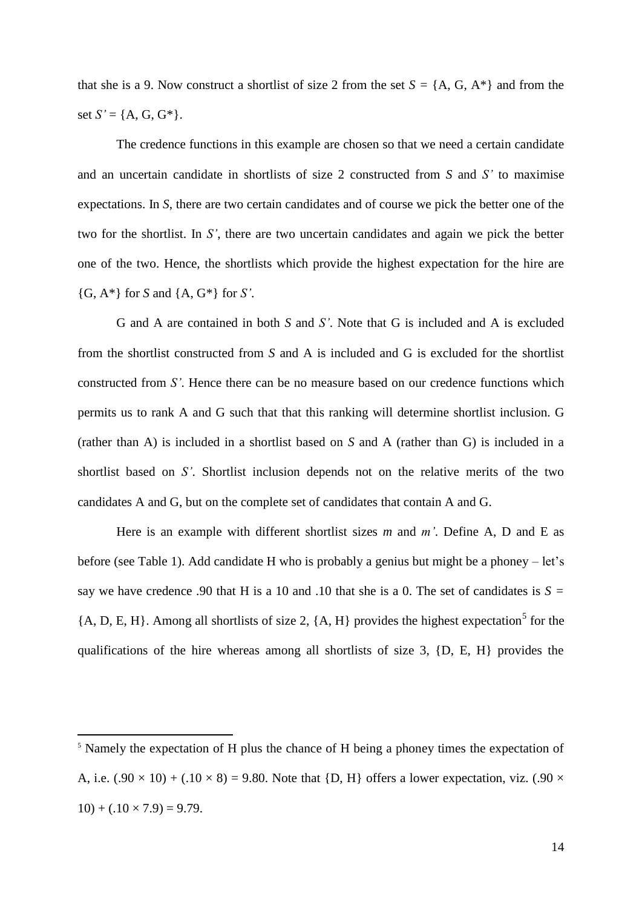that she is a 9. Now construct a shortlist of size 2 from the set  $S = \{A, G, A^*\}\$ and from the set  $S' = \{A, G, G^*\}.$ 

The credence functions in this example are chosen so that we need a certain candidate and an uncertain candidate in shortlists of size 2 constructed from *S* and *S'* to maximise expectations. In *S*, there are two certain candidates and of course we pick the better one of the two for the shortlist. In *S'*, there are two uncertain candidates and again we pick the better one of the two. Hence, the shortlists which provide the highest expectation for the hire are {G, A\*} for *S* and {A, G\*} for *S'*.

G and A are contained in both *S* and *S'*. Note that G is included and A is excluded from the shortlist constructed from *S* and A is included and G is excluded for the shortlist constructed from *S'*. Hence there can be no measure based on our credence functions which permits us to rank A and G such that that this ranking will determine shortlist inclusion. G (rather than A) is included in a shortlist based on *S* and A (rather than G) is included in a shortlist based on *S'*. Shortlist inclusion depends not on the relative merits of the two candidates A and G, but on the complete set of candidates that contain A and G.

Here is an example with different shortlist sizes *m* and *m'*. Define A, D and E as before (see Table 1). Add candidate H who is probably a genius but might be a phoney – let's say we have credence .90 that H is a 10 and .10 that she is a 0. The set of candidates is *S =*  ${A, D, E, H}$ . Among all shortlists of size 2,  ${A, H}$  provides the highest expectation<sup>5</sup> for the qualifications of the hire whereas among all shortlists of size 3, {D, E, H} provides the

1

<sup>&</sup>lt;sup>5</sup> Namely the expectation of H plus the chance of H being a phoney times the expectation of A, i.e.  $(.90 \times 10) + (.10 \times 8) = 9.80$ . Note that {D, H} offers a lower expectation, viz.  $(.90 \times 10)$  $10) + (.10 \times 7.9) = 9.79.$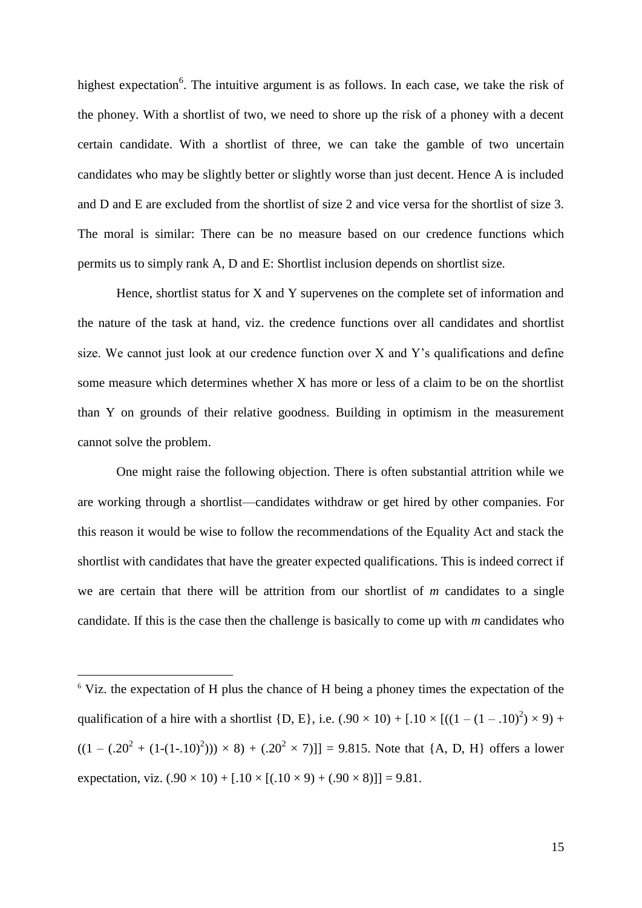highest expectation<sup>6</sup>. The intuitive argument is as follows. In each case, we take the risk of the phoney. With a shortlist of two, we need to shore up the risk of a phoney with a decent certain candidate. With a shortlist of three, we can take the gamble of two uncertain candidates who may be slightly better or slightly worse than just decent. Hence A is included and D and E are excluded from the shortlist of size 2 and vice versa for the shortlist of size 3. The moral is similar: There can be no measure based on our credence functions which permits us to simply rank A, D and E: Shortlist inclusion depends on shortlist size.

Hence, shortlist status for X and Y supervenes on the complete set of information and the nature of the task at hand, viz. the credence functions over all candidates and shortlist size. We cannot just look at our credence function over X and Y's qualifications and define some measure which determines whether X has more or less of a claim to be on the shortlist than Y on grounds of their relative goodness. Building in optimism in the measurement cannot solve the problem.

One might raise the following objection. There is often substantial attrition while we are working through a shortlist—candidates withdraw or get hired by other companies. For this reason it would be wise to follow the recommendations of the Equality Act and stack the shortlist with candidates that have the greater expected qualifications. This is indeed correct if we are certain that there will be attrition from our shortlist of *m* candidates to a single candidate. If this is the case then the challenge is basically to come up with *m* candidates who

1

<sup>6</sup> Viz. the expectation of H plus the chance of H being a phoney times the expectation of the qualification of a hire with a shortlist {D, E}, i.e.  $(.90 \times 10) + [.10 \times [((1 - (1 - .10)^2) \times 9) +$  $((1 - (.20<sup>2</sup> + (1-(1-.10)<sup>2</sup>))) \times 8) + (.20<sup>2</sup> \times 7))] = 9.815$ . Note that {A, D, H} offers a lower expectation, viz.  $(.90 \times 10) + [.10 \times [(.10 \times 9) + (.90 \times 8)] = 9.81$ .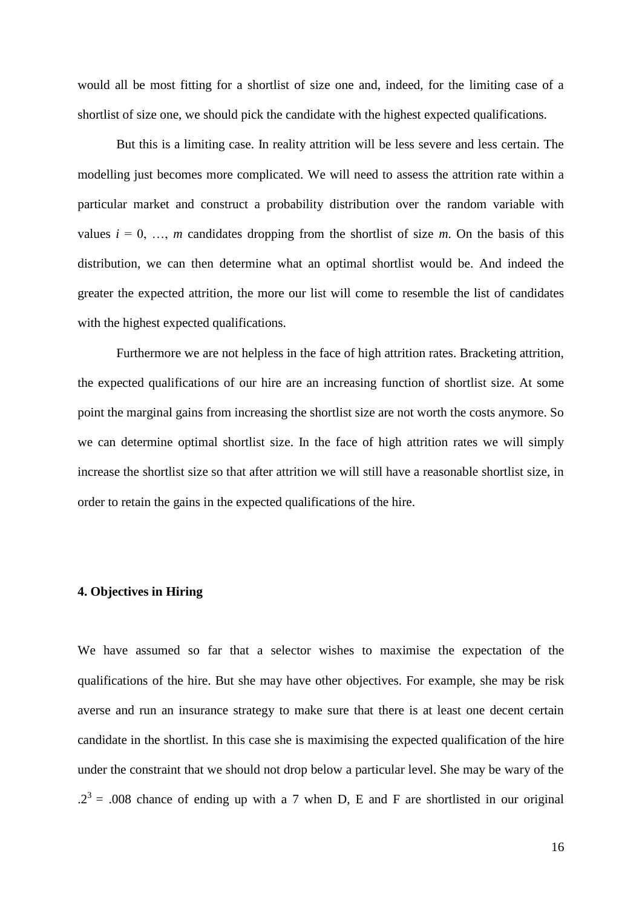would all be most fitting for a shortlist of size one and, indeed, for the limiting case of a shortlist of size one, we should pick the candidate with the highest expected qualifications.

But this is a limiting case. In reality attrition will be less severe and less certain. The modelling just becomes more complicated. We will need to assess the attrition rate within a particular market and construct a probability distribution over the random variable with values  $i = 0, \ldots, m$  candidates dropping from the shortlist of size *m*. On the basis of this distribution, we can then determine what an optimal shortlist would be. And indeed the greater the expected attrition, the more our list will come to resemble the list of candidates with the highest expected qualifications.

Furthermore we are not helpless in the face of high attrition rates. Bracketing attrition, the expected qualifications of our hire are an increasing function of shortlist size. At some point the marginal gains from increasing the shortlist size are not worth the costs anymore. So we can determine optimal shortlist size. In the face of high attrition rates we will simply increase the shortlist size so that after attrition we will still have a reasonable shortlist size, in order to retain the gains in the expected qualifications of the hire.

## **4. Objectives in Hiring**

We have assumed so far that a selector wishes to maximise the expectation of the qualifications of the hire. But she may have other objectives. For example, she may be risk averse and run an insurance strategy to make sure that there is at least one decent certain candidate in the shortlist. In this case she is maximising the expected qualification of the hire under the constraint that we should not drop below a particular level. She may be wary of the  $.2<sup>3</sup> = .008$  chance of ending up with a 7 when D, E and F are shortlisted in our original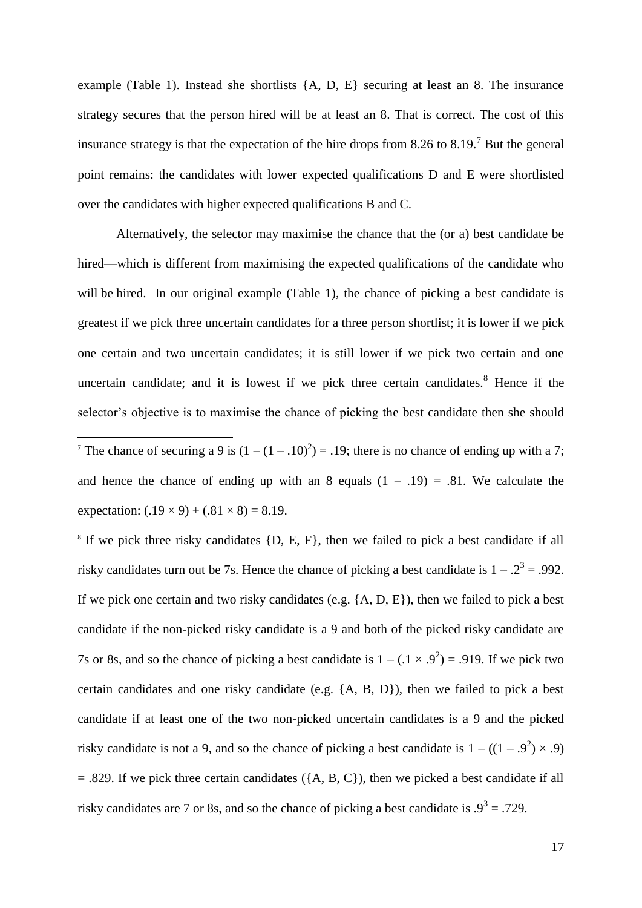example (Table 1). Instead she shortlists {A, D, E} securing at least an 8. The insurance strategy secures that the person hired will be at least an 8. That is correct. The cost of this insurance strategy is that the expectation of the hire drops from 8.26 to 8.19.<sup>7</sup> But the general point remains: the candidates with lower expected qualifications D and E were shortlisted over the candidates with higher expected qualifications B and C.

Alternatively, the selector may maximise the chance that the (or a) best candidate be hired—which is different from maximising the expected qualifications of the candidate who will be hired. In our original example (Table 1), the chance of picking a best candidate is greatest if we pick three uncertain candidates for a three person shortlist; it is lower if we pick one certain and two uncertain candidates; it is still lower if we pick two certain and one uncertain candidate; and it is lowest if we pick three certain candidates.<sup>8</sup> Hence if the selector's objective is to maximise the chance of picking the best candidate then she should

<sup>7</sup> The chance of securing a 9 is  $(1 - (1 - .10)^2) = .19$ ; there is no chance of ending up with a 7; and hence the chance of ending up with an 8 equals  $(1 - .19) = .81$ . We calculate the expectation:  $(.19 \times 9) + (.81 \times 8) = 8.19$ .

<u>.</u>

 $8$  If we pick three risky candidates  $\{D, E, F\}$ , then we failed to pick a best candidate if all risky candidates turn out be 7s. Hence the chance of picking a best candidate is  $1 - .2^3 = .992$ . If we pick one certain and two risky candidates (e.g. {A, D, E}), then we failed to pick a best candidate if the non-picked risky candidate is a 9 and both of the picked risky candidate are 7s or 8s, and so the chance of picking a best candidate is  $1 - (.1 \times .9^2) = .919$ . If we pick two certain candidates and one risky candidate (e.g. {A, B, D}), then we failed to pick a best candidate if at least one of the two non-picked uncertain candidates is a 9 and the picked risky candidate is not a 9, and so the chance of picking a best candidate is  $1 - ((1 - .9^2) \times .9)$  $=$  .829. If we pick three certain candidates ({A, B, C}), then we picked a best candidate if all risky candidates are 7 or 8s, and so the chance of picking a best candidate is  $.9^3 = .729$ .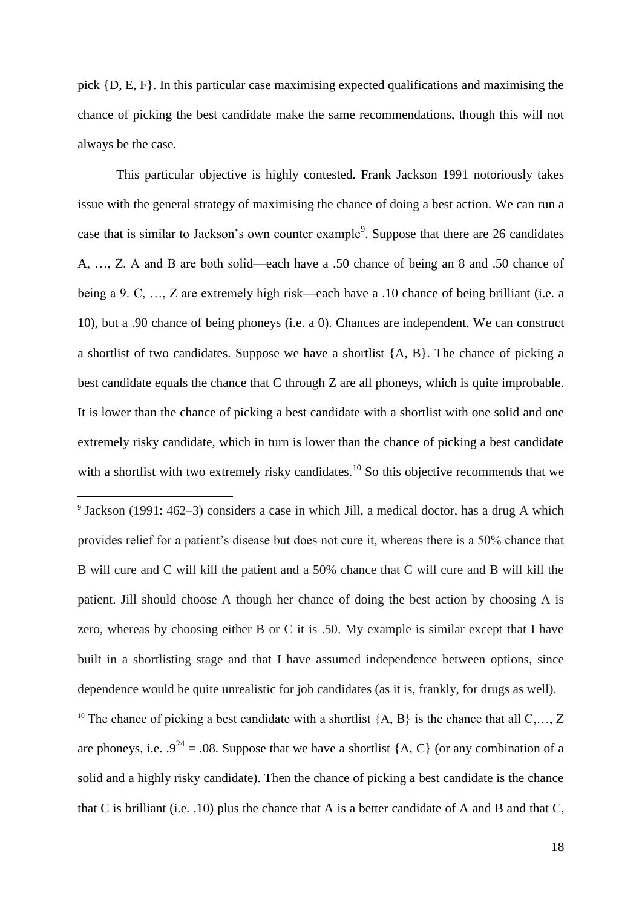pick {D, E, F}. In this particular case maximising expected qualifications and maximising the chance of picking the best candidate make the same recommendations, though this will not always be the case.

This particular objective is highly contested. Frank Jackson 1991 notoriously takes issue with the general strategy of maximising the chance of doing a best action. We can run a case that is similar to Jackson's own counter example<sup>9</sup>. Suppose that there are 26 candidates A, …, Z. A and B are both solid—each have a .50 chance of being an 8 and .50 chance of being a 9. C, …, Z are extremely high risk—each have a .10 chance of being brilliant (i.e. a 10), but a .90 chance of being phoneys (i.e. a 0). Chances are independent. We can construct a shortlist of two candidates. Suppose we have a shortlist {A, B}. The chance of picking a best candidate equals the chance that C through Z are all phoneys, which is quite improbable. It is lower than the chance of picking a best candidate with a shortlist with one solid and one extremely risky candidate, which in turn is lower than the chance of picking a best candidate with a shortlist with two extremely risky candidates.<sup>10</sup> So this objective recommends that we

<sup>9</sup> Jackson (1991: 462–3) considers a case in which Jill, a medical doctor, has a drug A which provides relief for a patient's disease but does not cure it, whereas there is a 50% chance that B will cure and C will kill the patient and a 50% chance that C will cure and B will kill the patient. Jill should choose A though her chance of doing the best action by choosing A is zero, whereas by choosing either B or C it is .50. My example is similar except that I have built in a shortlisting stage and that I have assumed independence between options, since dependence would be quite unrealistic for job candidates (as it is, frankly, for drugs as well).

1

<sup>10</sup> The chance of picking a best candidate with a shortlist  $\{A, B\}$  is the chance that all C,..., Z are phoneys, i.e.  $.9^{24} = .08$ . Suppose that we have a shortlist {A, C} (or any combination of a solid and a highly risky candidate). Then the chance of picking a best candidate is the chance that C is brilliant (i.e. .10) plus the chance that A is a better candidate of A and B and that C,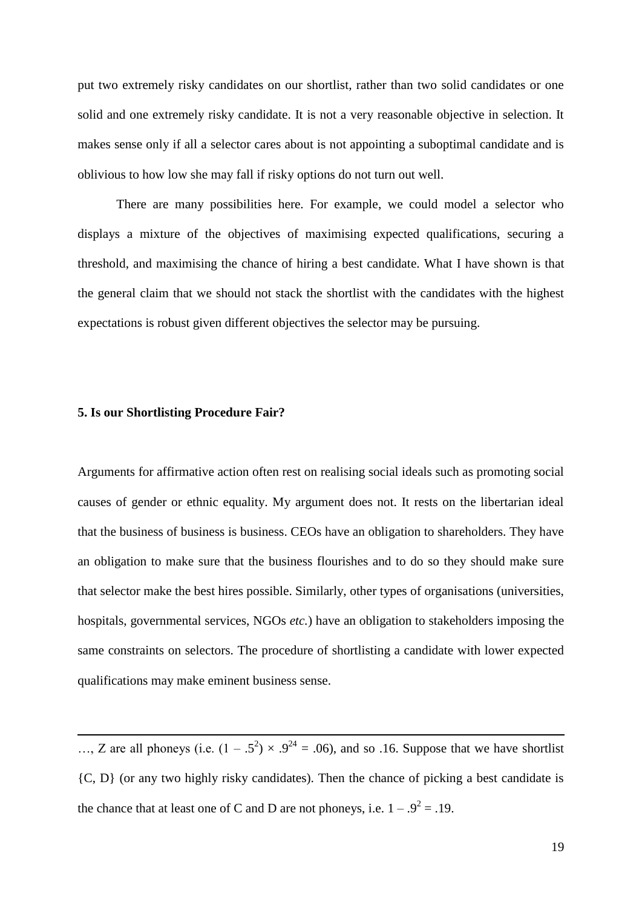put two extremely risky candidates on our shortlist, rather than two solid candidates or one solid and one extremely risky candidate. It is not a very reasonable objective in selection. It makes sense only if all a selector cares about is not appointing a suboptimal candidate and is oblivious to how low she may fall if risky options do not turn out well.

There are many possibilities here. For example, we could model a selector who displays a mixture of the objectives of maximising expected qualifications, securing a threshold, and maximising the chance of hiring a best candidate. What I have shown is that the general claim that we should not stack the shortlist with the candidates with the highest expectations is robust given different objectives the selector may be pursuing.

#### **5. Is our Shortlisting Procedure Fair?**

1

Arguments for affirmative action often rest on realising social ideals such as promoting social causes of gender or ethnic equality. My argument does not. It rests on the libertarian ideal that the business of business is business. CEOs have an obligation to shareholders. They have an obligation to make sure that the business flourishes and to do so they should make sure that selector make the best hires possible. Similarly, other types of organisations (universities, hospitals, governmental services, NGOs *etc.*) have an obligation to stakeholders imposing the same constraints on selectors. The procedure of shortlisting a candidate with lower expected qualifications may make eminent business sense.

..., Z are all phoneys (i.e.  $(1 - .5^2) \times .9^{24} = .06$ ), and so .16. Suppose that we have shortlist {C, D} (or any two highly risky candidates). Then the chance of picking a best candidate is the chance that at least one of C and D are not phoneys, i.e.  $1 - .9^2 = .19$ .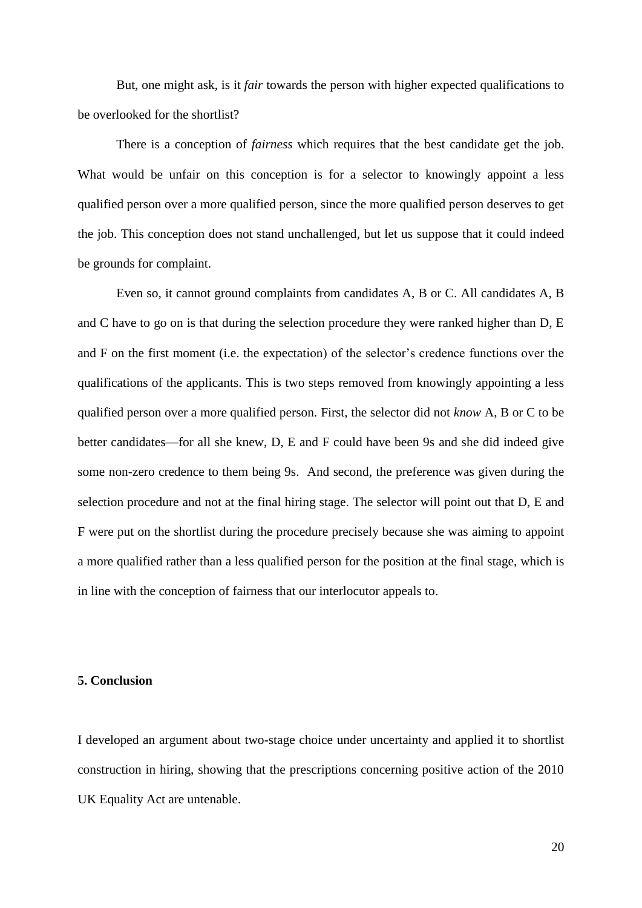But, one might ask, is it *fair* towards the person with higher expected qualifications to be overlooked for the shortlist?

There is a conception of *fairness* which requires that the best candidate get the job. What would be unfair on this conception is for a selector to knowingly appoint a less qualified person over a more qualified person, since the more qualified person deserves to get the job. This conception does not stand unchallenged, but let us suppose that it could indeed be grounds for complaint.

Even so, it cannot ground complaints from candidates A, B or C. All candidates A, B and C have to go on is that during the selection procedure they were ranked higher than D, E and F on the first moment (i.e. the expectation) of the selector's credence functions over the qualifications of the applicants. This is two steps removed from knowingly appointing a less qualified person over a more qualified person. First, the selector did not *know* A, B or C to be better candidates—for all she knew, D, E and F could have been 9s and she did indeed give some non-zero credence to them being 9s. And second, the preference was given during the selection procedure and not at the final hiring stage. The selector will point out that D, E and F were put on the shortlist during the procedure precisely because she was aiming to appoint a more qualified rather than a less qualified person for the position at the final stage, which is in line with the conception of fairness that our interlocutor appeals to.

# **5. Conclusion**

I developed an argument about two-stage choice under uncertainty and applied it to shortlist construction in hiring, showing that the prescriptions concerning positive action of the 2010 UK Equality Act are untenable.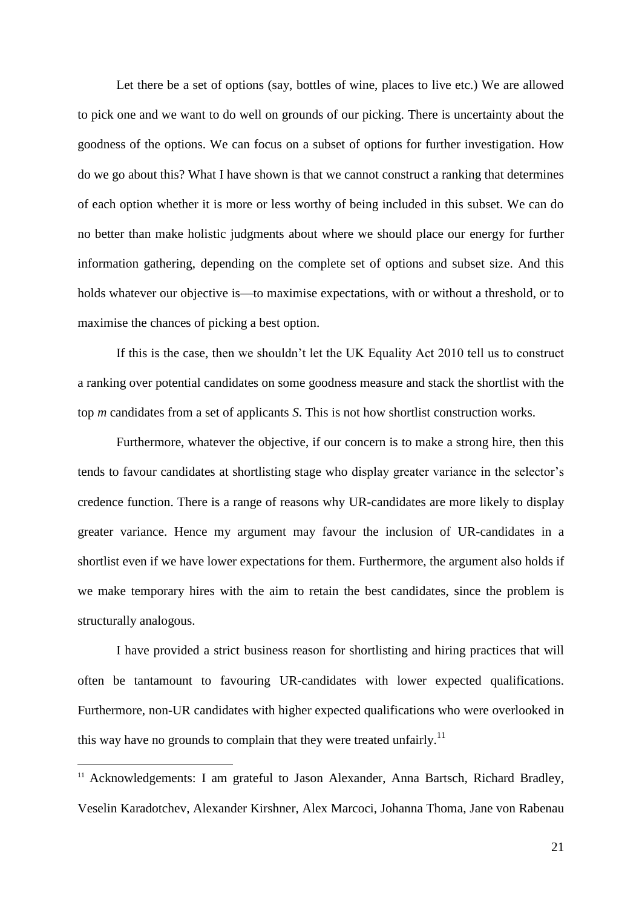Let there be a set of options (say, bottles of wine, places to live etc.) We are allowed to pick one and we want to do well on grounds of our picking. There is uncertainty about the goodness of the options. We can focus on a subset of options for further investigation. How do we go about this? What I have shown is that we cannot construct a ranking that determines of each option whether it is more or less worthy of being included in this subset. We can do no better than make holistic judgments about where we should place our energy for further information gathering, depending on the complete set of options and subset size. And this holds whatever our objective is—to maximise expectations, with or without a threshold, or to maximise the chances of picking a best option.

If this is the case, then we shouldn't let the UK Equality Act 2010 tell us to construct a ranking over potential candidates on some goodness measure and stack the shortlist with the top *m* candidates from a set of applicants *S*. This is not how shortlist construction works.

Furthermore, whatever the objective, if our concern is to make a strong hire, then this tends to favour candidates at shortlisting stage who display greater variance in the selector's credence function. There is a range of reasons why UR-candidates are more likely to display greater variance. Hence my argument may favour the inclusion of UR-candidates in a shortlist even if we have lower expectations for them. Furthermore, the argument also holds if we make temporary hires with the aim to retain the best candidates, since the problem is structurally analogous.

I have provided a strict business reason for shortlisting and hiring practices that will often be tantamount to favouring UR-candidates with lower expected qualifications. Furthermore, non-UR candidates with higher expected qualifications who were overlooked in this way have no grounds to complain that they were treated unfairly.<sup>11</sup>

<u>.</u>

<sup>&</sup>lt;sup>11</sup> Acknowledgements: I am grateful to Jason Alexander, Anna Bartsch, Richard Bradley, Veselin Karadotchev, Alexander Kirshner, Alex Marcoci, Johanna Thoma, Jane von Rabenau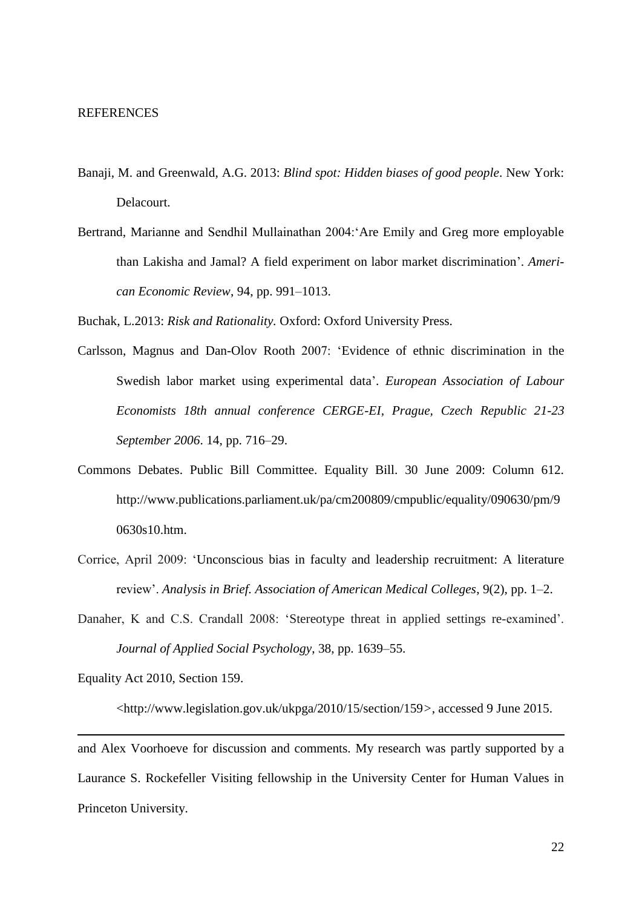- Banaji, M. and Greenwald, A.G. 2013: *Blind spot: Hidden biases of good people*. New York: Delacourt.
- Bertrand, Marianne and Sendhil Mullainathan 2004:'Are Emily and Greg more employable than Lakisha and Jamal? A field experiment on labor market discrimination'. *American Economic Review*, 94, pp. 991–1013.

Buchak, L.2013: *Risk and Rationality.* Oxford: Oxford University Press.

- Carlsson, Magnus and Dan-Olov Rooth 2007: 'Evidence of ethnic discrimination in the Swedish labor market using experimental data'. *European Association of Labour Economists 18th annual conference CERGE-EI, Prague, Czech Republic 21-23 September 2006*. 14, pp. 716–29.
- Commons Debates. Public Bill Committee. Equality Bill. 30 June 2009: Column 612. http://www.publications.parliament.uk/pa/cm200809/cmpublic/equality/090630/pm/9 0630s10.htm.
- Corrice, April 2009: 'Unconscious bias in faculty and leadership recruitment: A literature review'. *Analysis in Brief. Association of American Medical Colleges*, 9(2), pp. 1–2.
- Danaher, K and C.S. Crandall 2008: 'Stereotype threat in applied settings re-examined'. *Journal of Applied Social Psychology*, 38, pp. 1639–55.

Equality Act 2010, Section 159.

1

<http://www.legislation.gov.uk/ukpga/2010/15/section/159*>*, accessed 9 June 2015.

and Alex Voorhoeve for discussion and comments. My research was partly supported by a Laurance S. Rockefeller Visiting fellowship in the University Center for Human Values in Princeton University.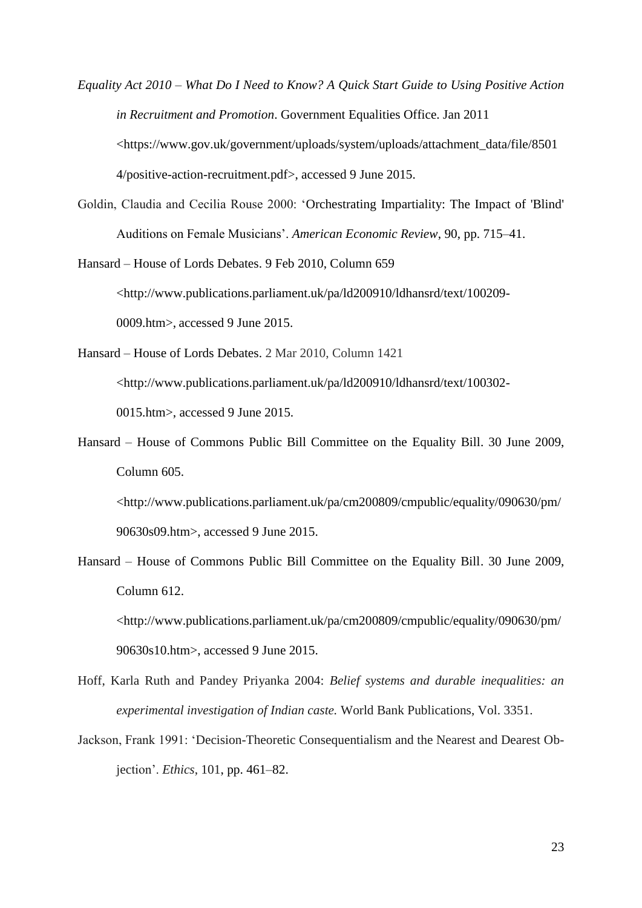*Equality Act 2010 – What Do I Need to Know? A Quick Start Guide to Using Positive Action in Recruitment and Promotion*. Government Equalities Office. Jan 2011 <https://www.gov.uk/government/uploads/system/uploads/attachment\_data/file/8501 4/positive-action-recruitment.pdf>, accessed 9 June 2015.

Goldin, Claudia and Cecilia Rouse 2000: 'Orchestrating Impartiality: The Impact of 'Blind' Auditions on Female Musicians'. *American Economic Review*, 90, pp. 715–41.

Hansard – House of Lords Debates. 9 Feb 2010, Column 659 <http://www.publications.parliament.uk/pa/ld200910/ldhansrd/text/100209- 0009.htm>, accessed 9 June 2015.

- Hansard House of Lords Debates. 2 Mar 2010, Column 1421 <http://www.publications.parliament.uk/pa/ld200910/ldhansrd/text/100302- 0015.htm>, accessed 9 June 2015.
- Hansard House of Commons Public Bill Committee on the Equality Bill. 30 June 2009, Column 605.

<http://www.publications.parliament.uk/pa/cm200809/cmpublic/equality/090630/pm/ 90630s09.htm>, accessed 9 June 2015.

Hansard – House of Commons Public Bill Committee on the Equality Bill. 30 June 2009, Column 612.

<http://www.publications.parliament.uk/pa/cm200809/cmpublic/equality/090630/pm/ 90630s10.htm>, accessed 9 June 2015.

- Hoff, Karla Ruth and Pandey Priyanka 2004: *Belief systems and durable inequalities: an experimental investigation of Indian caste.* World Bank Publications, Vol. 3351.
- Jackson, Frank 1991: 'Decision-Theoretic Consequentialism and the Nearest and Dearest Objection'. *Ethics*, 101, pp. 461–82.